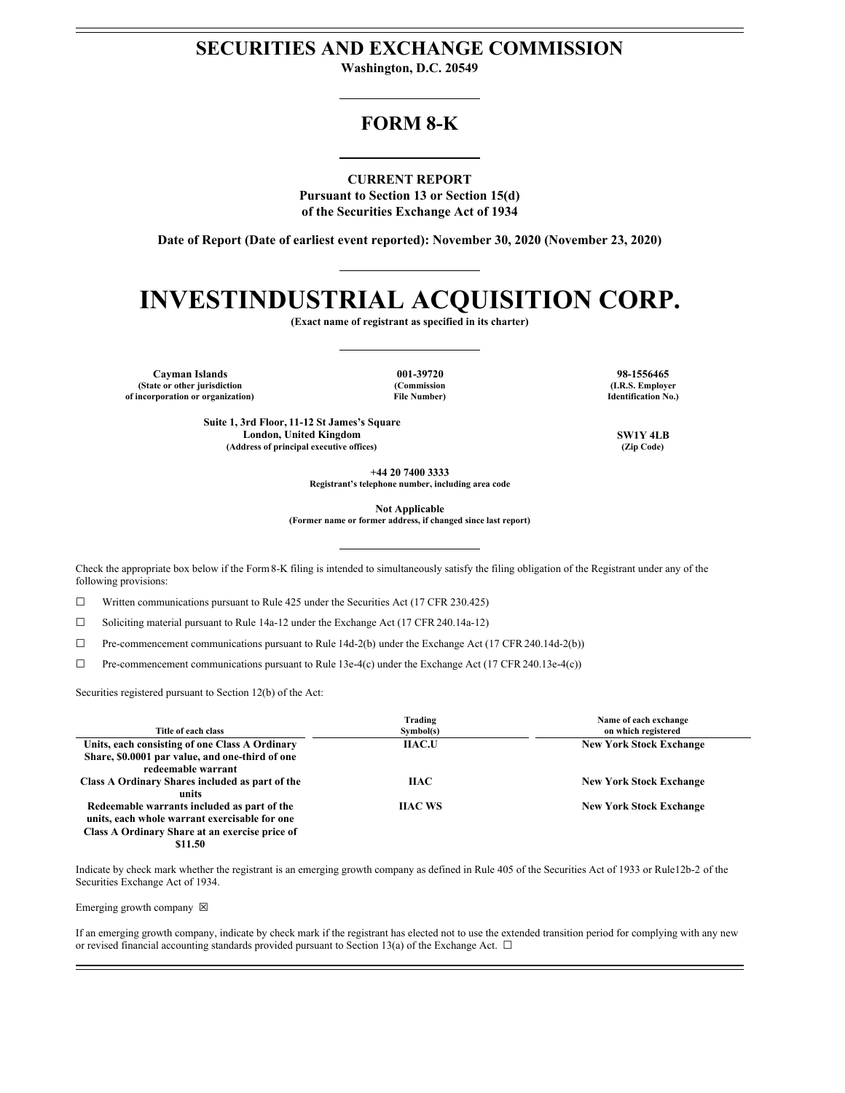# **SECURITIES AND EXCHANGE COMMISSION**

**Washington, D.C. 20549**

# **FORM 8-K**

**CURRENT REPORT Pursuant to Section 13 or Section 15(d) of the Securities Exchange Act of 1934**

**Date of Report (Date of earliest event reported): November 30, 2020 (November 23, 2020)**

# **INVESTINDUSTRIAL ACQUISITION CORP.**

**(Exact name of registrant as specified in its charter)**

**Cayman Islands 001-39720 98-1556465 (State or other jurisdiction of incorporation or organization)**

**(Commission File Number)**

**(I.R.S. Employer Identification No.)**

**Suite 1, 3rd Floor, 11-12 St James's Square London, United Kingdom SW1Y 4LB**  $(A$ ddress of principal executive offices)

**+44 20 7400 3333**

**Registrant's telephone number, including area code**

**Not Applicable**

**(Former name or former address, if changed since last report)**

Check the appropriate box below if the Form8-K filing is intended to simultaneously satisfy the filing obligation of the Registrant under any of the following provisions:

 $\Box$  Written communications pursuant to Rule 425 under the Securities Act (17 CFR 230.425)

☐ Soliciting material pursuant to Rule 14a-12 under the Exchange Act (17 CFR 240.14a-12)

☐ Pre-commencement communications pursuant to Rule 14d-2(b) under the Exchange Act (17 CFR 240.14d-2(b))

 $\Box$  Pre-commencement communications pursuant to Rule 13e-4(c) under the Exchange Act (17 CFR 240.13e-4(c))

Securities registered pursuant to Section 12(b) of the Act:

| Title of each class                                                                                                                                       | Trading<br>Sumbol(s) | Name of each exchange<br>on which registered |
|-----------------------------------------------------------------------------------------------------------------------------------------------------------|----------------------|----------------------------------------------|
| Units, each consisting of one Class A Ordinary<br>Share, \$0.0001 par value, and one-third of one<br>redeemable warrant                                   | <b>IIAC.U</b>        | <b>New York Stock Exchange</b>               |
| Class A Ordinary Shares included as part of the<br>units                                                                                                  | <b>HAC</b>           | <b>New York Stock Exchange</b>               |
| Redeemable warrants included as part of the<br>units, each whole warrant exercisable for one<br>Class A Ordinary Share at an exercise price of<br>\$11.50 | <b>HAC WS</b>        | <b>New York Stock Exchange</b>               |

Indicate by check mark whether the registrant is an emerging growth company as defined in Rule 405 of the Securities Act of 1933 or Rule12b-2 of the Securities Exchange Act of 1934.

Emerging growth company  $\boxtimes$ 

If an emerging growth company, indicate by check mark if the registrant has elected not to use the extended transition period for complying with any new or revised financial accounting standards provided pursuant to Section 13(a) of the Exchange Act.  $\Box$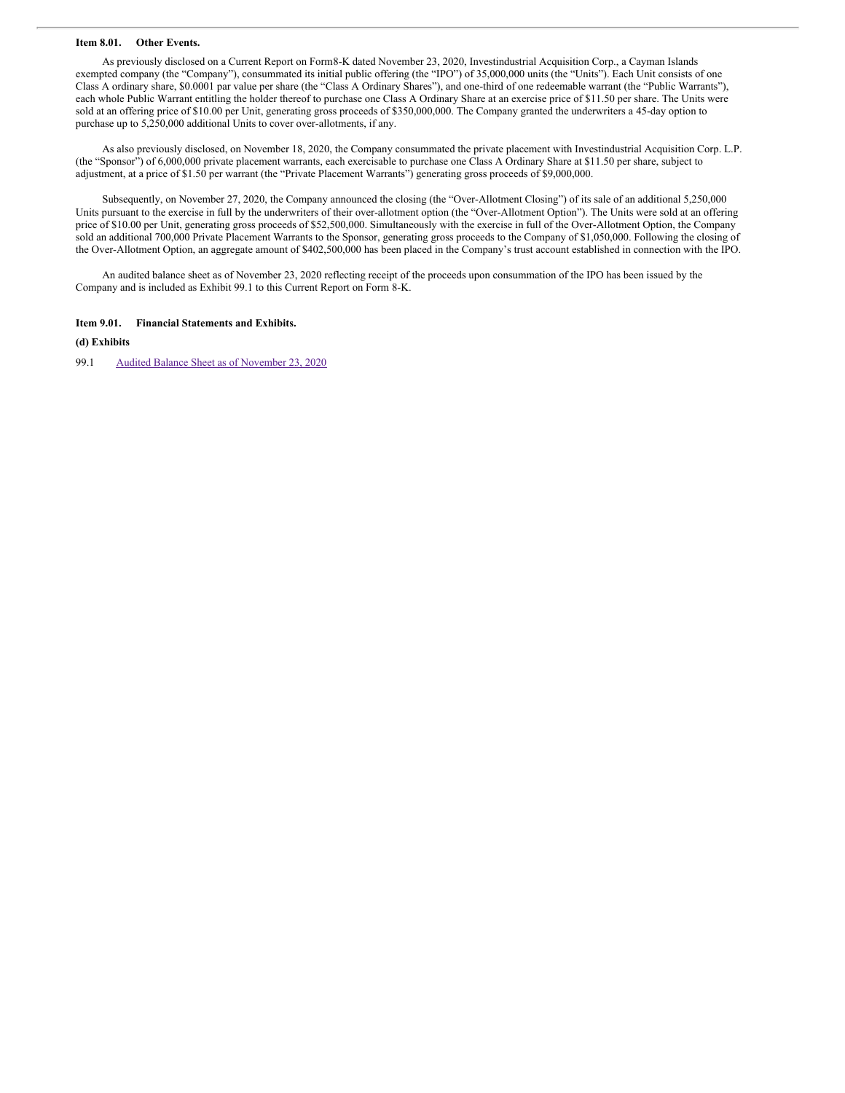#### **Item 8.01. Other Events.**

As previously disclosed on a Current Report on Form8-K dated November 23, 2020, Investindustrial Acquisition Corp., a Cayman Islands exempted company (the "Company"), consummated its initial public offering (the "IPO") of 35,000,000 units (the "Units"). Each Unit consists of one Class A ordinary share, \$0.0001 par value per share (the "Class A Ordinary Shares"), and one-third of one redeemable warrant (the "Public Warrants"), each whole Public Warrant entitling the holder thereof to purchase one Class A Ordinary Share at an exercise price of \$11.50 per share. The Units were sold at an offering price of \$10.00 per Unit, generating gross proceeds of \$350,000,000. The Company granted the underwriters a 45-day option to purchase up to 5,250,000 additional Units to cover over-allotments, if any.

As also previously disclosed, on November 18, 2020, the Company consummated the private placement with Investindustrial Acquisition Corp. L.P. (the "Sponsor") of 6,000,000 private placement warrants, each exercisable to purchase one Class A Ordinary Share at \$11.50 per share, subject to adjustment, at a price of \$1.50 per warrant (the "Private Placement Warrants") generating gross proceeds of \$9,000,000.

Subsequently, on November 27, 2020, the Company announced the closing (the "Over-Allotment Closing") of its sale of an additional 5,250,000 Units pursuant to the exercise in full by the underwriters of their over-allotment option (the "Over-Allotment Option"). The Units were sold at an offering price of \$10.00 per Unit, generating gross proceeds of \$52,500,000. Simultaneously with the exercise in full of the Over-Allotment Option, the Company sold an additional 700,000 Private Placement Warrants to the Sponsor, generating gross proceeds to the Company of \$1,050,000. Following the closing of the Over-Allotment Option, an aggregate amount of \$402,500,000 has been placed in the Company's trust account established in connection with the IPO.

An audited balance sheet as of November 23, 2020 reflecting receipt of the proceeds upon consummation of the IPO has been issued by the Company and is included as Exhibit 99.1 to this Current Report on Form 8-K.

#### **Item 9.01. Financial Statements and Exhibits.**

**(d) Exhibits**

99.1 Audited Balance Sheet as of [November](#page-9-0) 23, 2020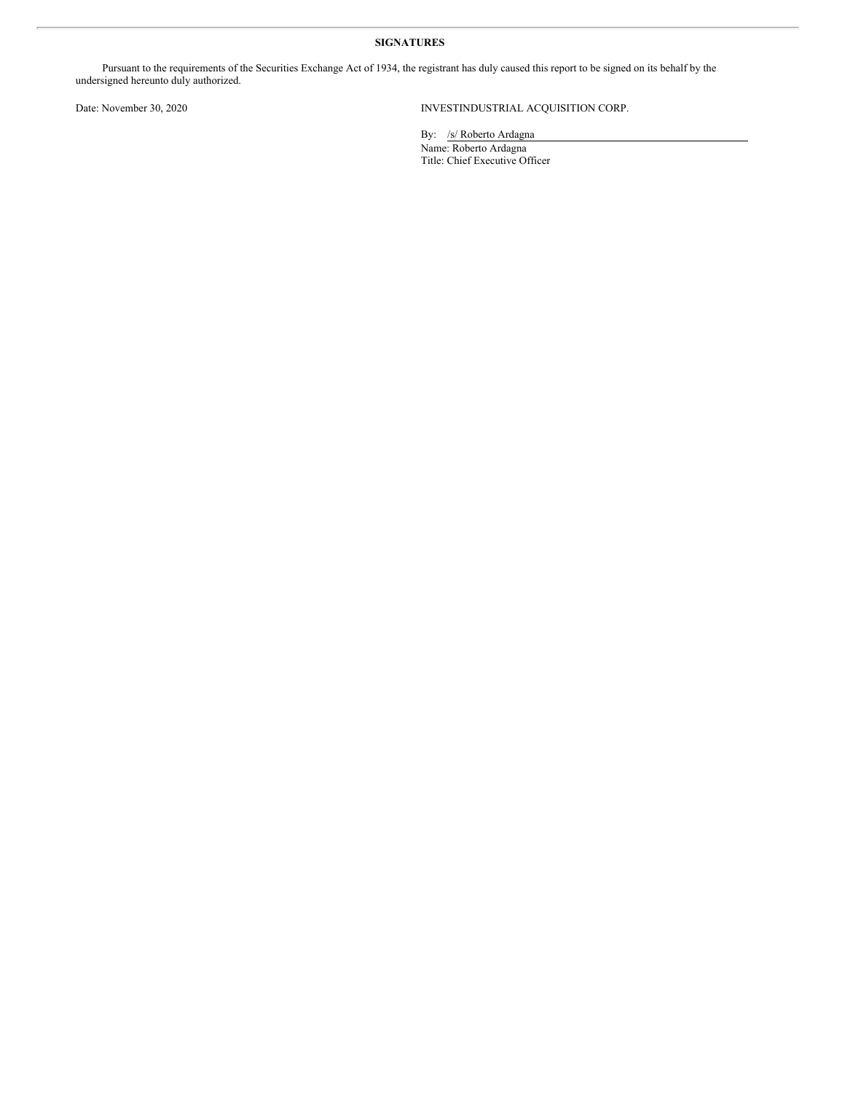## **SIGNATURES**

Pursuant to the requirements of the Securities Exchange Act of 1934, the registrant has duly caused this report to be signed on its behalf by the undersigned hereunto duly authorized.

## Date: November 30, 2020 INVESTINDUSTRIAL ACQUISITION CORP.

By: /s/ Roberto Ardagna Name: Roberto Ardagna Title: Chief Executive Officer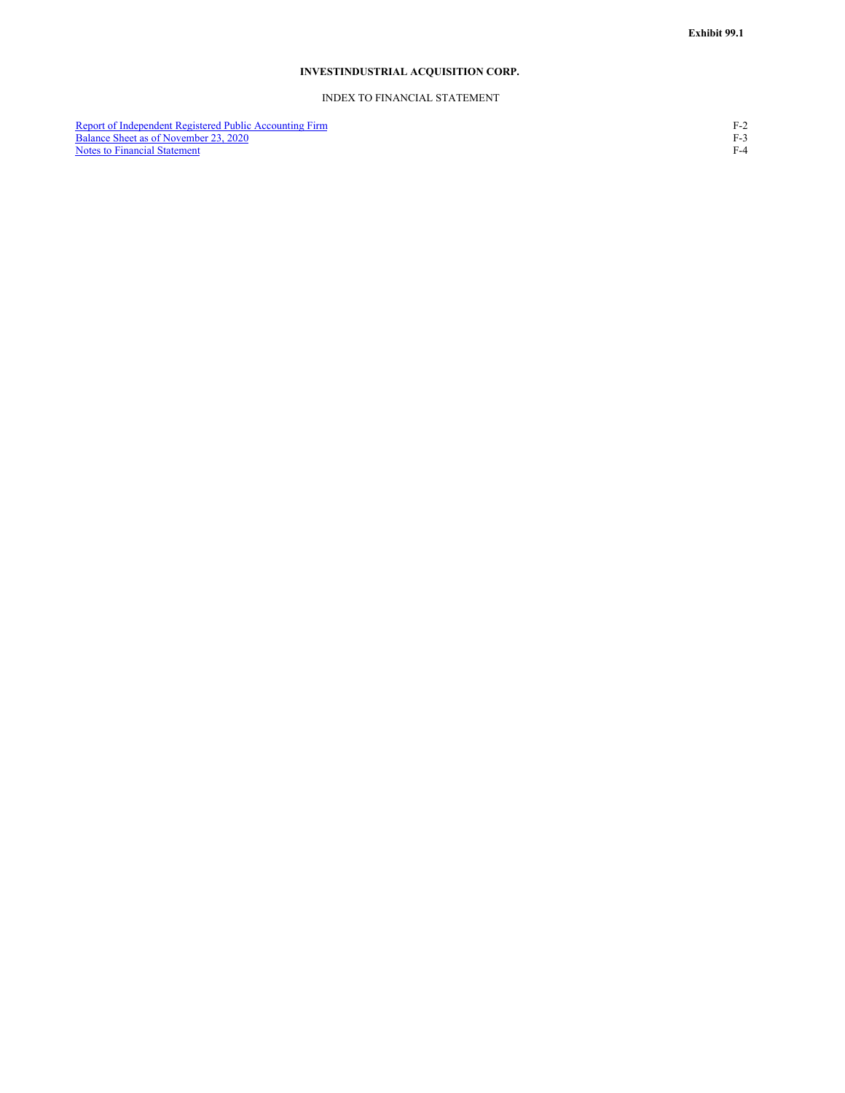## **INVESTINDUSTRIAL ACQUISITION CORP.**

#### INDEX TO FINANCIAL STATEMENT

Report of Independent Registered Public Accounting Firm F-2 Balance Sheet as of [November](#page-5-0) 23, 2020 F-3 Report of Independent Registered Public Accounting Firm<br>
Balance Sheet as of November 23, 2020<br>
Notes to Financial [Statement](#page-6-0)<br>
F-4<br>
F-4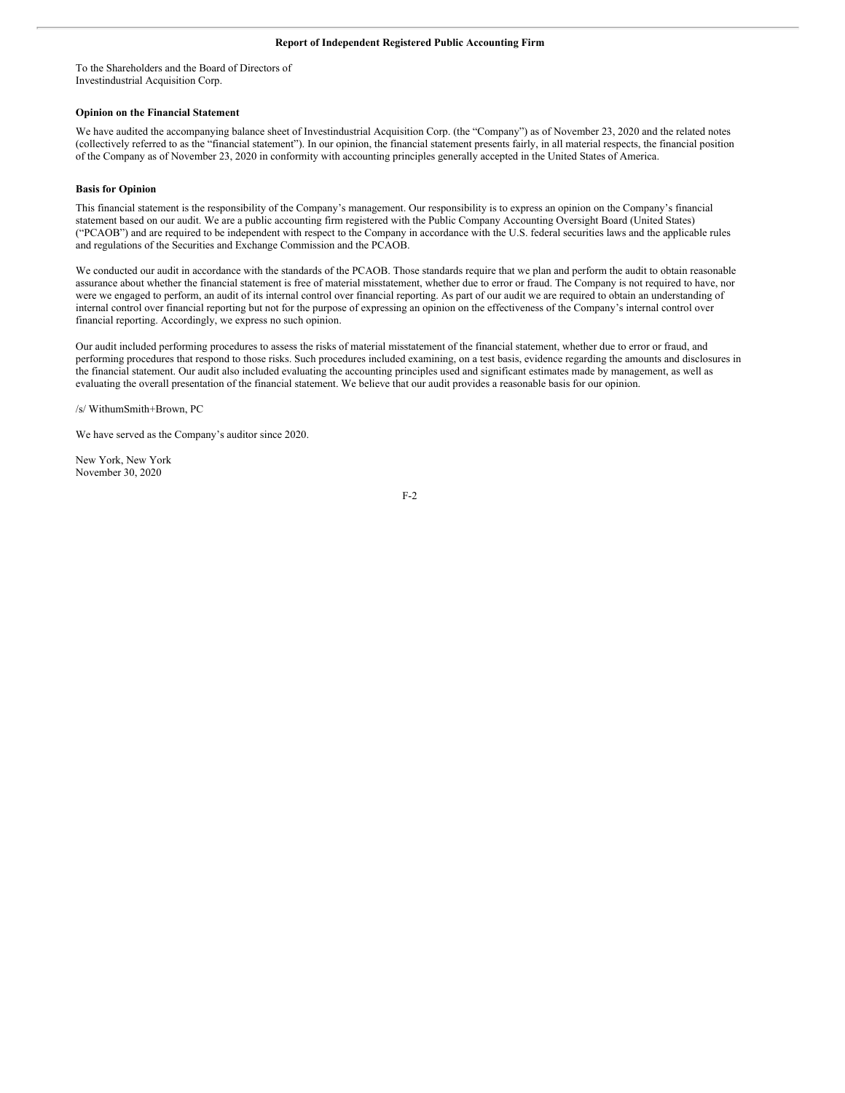To the Shareholders and the Board of Directors of Investindustrial Acquisition Corp.

#### **Opinion on the Financial Statement**

We have audited the accompanying balance sheet of Investindustrial Acquisition Corp. (the "Company") as of November 23, 2020 and the related notes (collectively referred to as the "financial statement"). In our opinion, the financial statement presents fairly, in all material respects, the financial position of the Company as of November 23, 2020 in conformity with accounting principles generally accepted in the United States of America.

#### **Basis for Opinion**

This financial statement is the responsibility of the Company's management. Our responsibility is to express an opinion on the Company's financial statement based on our audit. We are a public accounting firm registered with the Public Company Accounting Oversight Board (United States) ("PCAOB") and are required to be independent with respect to the Company in accordance with the U.S. federal securities laws and the applicable rules and regulations of the Securities and Exchange Commission and the PCAOB.

We conducted our audit in accordance with the standards of the PCAOB. Those standards require that we plan and perform the audit to obtain reasonable assurance about whether the financial statement is free of material misstatement, whether due to error or fraud. The Company is not required to have, nor were we engaged to perform, an audit of its internal control over financial reporting. As part of our audit we are required to obtain an understanding of internal control over financial reporting but not for the purpose of expressing an opinion on the effectiveness of the Company's internal control over financial reporting. Accordingly, we express no such opinion.

Our audit included performing procedures to assess the risks of material misstatement of the financial statement, whether due to error or fraud, and performing procedures that respond to those risks. Such procedures included examining, on a test basis, evidence regarding the amounts and disclosures in the financial statement. Our audit also included evaluating the accounting principles used and significant estimates made by management, as well as evaluating the overall presentation of the financial statement. We believe that our audit provides a reasonable basis for our opinion.

/s/ WithumSmith+Brown, PC

We have served as the Company's auditor since 2020.

New York, New York November 30, 2020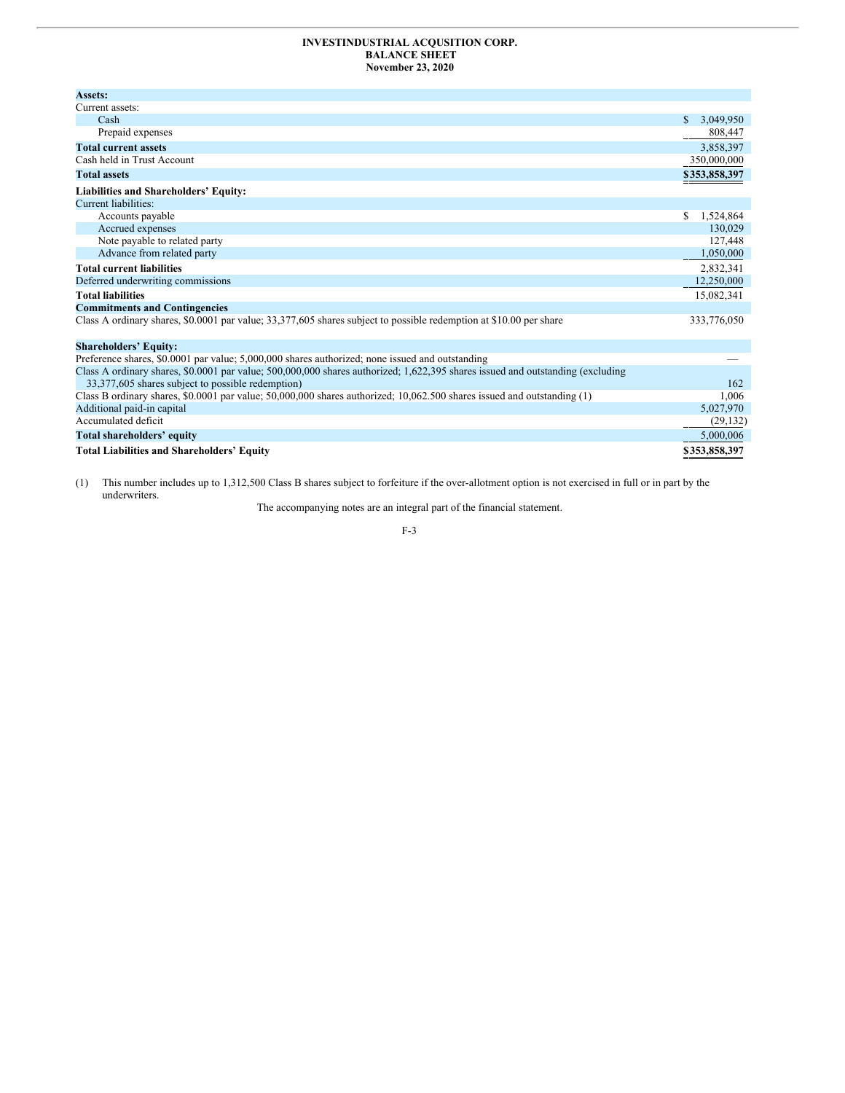#### <span id="page-5-0"></span>**INVESTINDUSTRIAL ACQUSITION CORP. BALANCE SHEET November 23, 2020**

| <b>Assets:</b>                                                                                                                 |                 |
|--------------------------------------------------------------------------------------------------------------------------------|-----------------|
| Current assets:                                                                                                                |                 |
| Cash                                                                                                                           | \$<br>3,049,950 |
| Prepaid expenses                                                                                                               | 808,447         |
| <b>Total current assets</b>                                                                                                    | 3,858,397       |
| Cash held in Trust Account                                                                                                     | 350,000,000     |
| <b>Total assets</b>                                                                                                            | \$353,858,397   |
| Liabilities and Shareholders' Equity:                                                                                          |                 |
| Current liabilities:                                                                                                           |                 |
| Accounts payable                                                                                                               | \$<br>1,524,864 |
| Accrued expenses                                                                                                               | 130,029         |
| Note payable to related party                                                                                                  | 127,448         |
| Advance from related party                                                                                                     | 1,050,000       |
| <b>Total current liabilities</b>                                                                                               | 2,832,341       |
| Deferred underwriting commissions                                                                                              | 12,250,000      |
| <b>Total liabilities</b>                                                                                                       | 15,082,341      |
| <b>Commitments and Contingencies</b>                                                                                           |                 |
| Class A ordinary shares, \$0.0001 par value; 33,377,605 shares subject to possible redemption at \$10.00 per share             | 333,776,050     |
| <b>Shareholders' Equity:</b>                                                                                                   |                 |
| Preference shares, \$0.0001 par value; 5,000,000 shares authorized; none issued and outstanding                                |                 |
| Class A ordinary shares, \$0.0001 par value; 500,000,000 shares authorized; 1,622,395 shares issued and outstanding (excluding |                 |
| 33,377,605 shares subject to possible redemption)                                                                              | 162             |
| Class B ordinary shares, \$0.0001 par value; 50,000,000 shares authorized; 10,062.500 shares issued and outstanding (1)        | 1.006           |
| Additional paid-in capital                                                                                                     | 5,027,970       |
| Accumulated deficit                                                                                                            | (29, 132)       |
| Total shareholders' equity                                                                                                     | 5,000,006       |
| <b>Total Liabilities and Shareholders' Equity</b>                                                                              | \$353,858,397   |

(1) This number includes up to 1,312,500 Class B shares subject to forfeiture if the over-allotment option is not exercised in full or in part by the underwriters.

The accompanying notes are an integral part of the financial statement.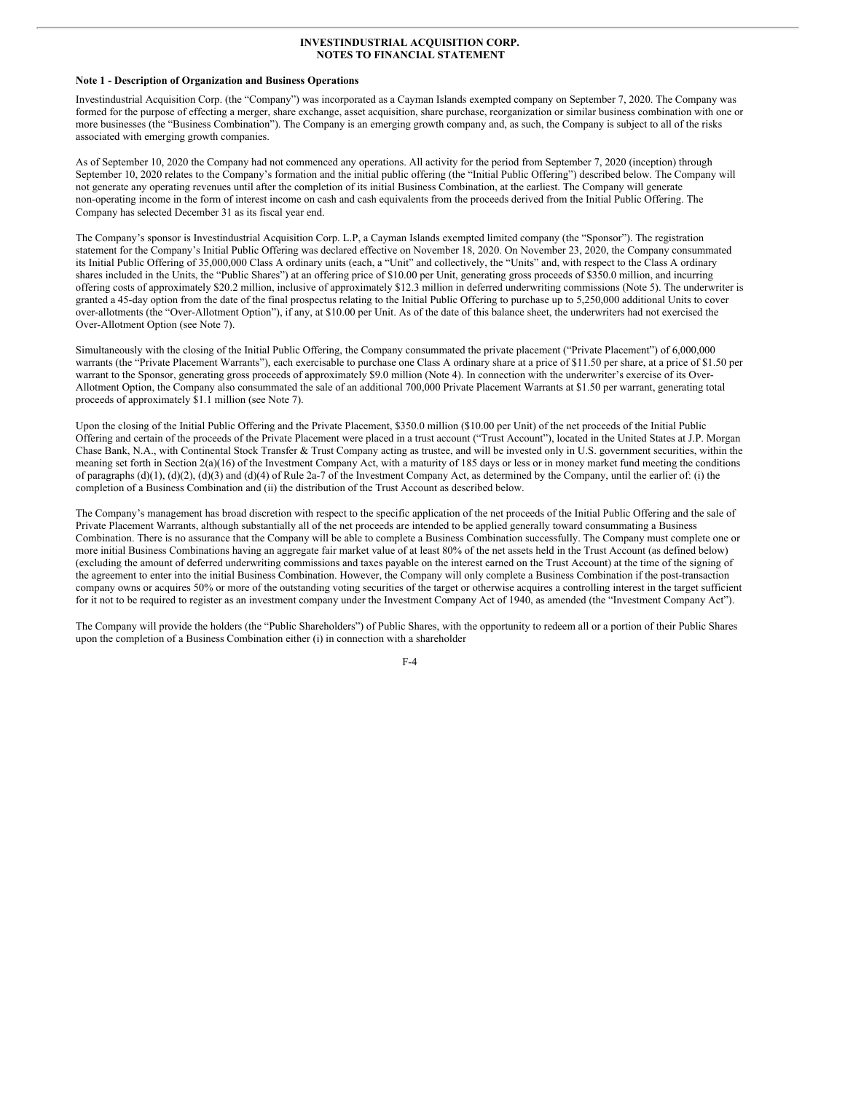#### <span id="page-6-0"></span>**Note 1 - Description of Organization and Business Operations**

Investindustrial Acquisition Corp. (the "Company") was incorporated as a Cayman Islands exempted company on September 7, 2020. The Company was formed for the purpose of effecting a merger, share exchange, asset acquisition, share purchase, reorganization or similar business combination with one or more businesses (the "Business Combination"). The Company is an emerging growth company and, as such, the Company is subject to all of the risks associated with emerging growth companies.

As of September 10, 2020 the Company had not commenced any operations. All activity for the period from September 7, 2020 (inception) through September 10, 2020 relates to the Company's formation and the initial public offering (the "Initial Public Offering") described below. The Company will not generate any operating revenues until after the completion of its initial Business Combination, at the earliest. The Company will generate non-operating income in the form of interest income on cash and cash equivalents from the proceeds derived from the Initial Public Offering. The Company has selected December 31 as its fiscal year end.

The Company's sponsor is Investindustrial Acquisition Corp. L.P, a Cayman Islands exempted limited company (the "Sponsor"). The registration statement for the Company's Initial Public Offering was declared effective on November 18, 2020. On November 23, 2020, the Company consummated its Initial Public Offering of 35,000,000 Class A ordinary units (each, a "Unit" and collectively, the "Units" and, with respect to the Class A ordinary shares included in the Units, the "Public Shares") at an offering price of \$10.00 per Unit, generating gross proceeds of \$350.0 million, and incurring offering costs of approximately \$20.2 million, inclusive of approximately \$12.3 million in deferred underwriting commissions (Note 5). The underwriter is granted a 45-day option from the date of the final prospectus relating to the Initial Public Offering to purchase up to 5,250,000 additional Units to cover over-allotments (the "Over-Allotment Option"), if any, at \$10.00 per Unit. As of the date of this balance sheet, the underwriters had not exercised the Over-Allotment Option (see Note 7).

Simultaneously with the closing of the Initial Public Offering, the Company consummated the private placement ("Private Placement") of 6,000,000 warrants (the "Private Placement Warrants"), each exercisable to purchase one Class A ordinary share at a price of \$11.50 per share, at a price of \$1.50 per warrant to the Sponsor, generating gross proceeds of approximately \$9.0 million (Note 4). In connection with the underwriter's exercise of its Over-Allotment Option, the Company also consummated the sale of an additional 700,000 Private Placement Warrants at \$1.50 per warrant, generating total proceeds of approximately \$1.1 million (see Note 7).

Upon the closing of the Initial Public Offering and the Private Placement, \$350.0 million (\$10.00 per Unit) of the net proceeds of the Initial Public Offering and certain of the proceeds of the Private Placement were placed in a trust account ("Trust Account"), located in the United States at J.P. Morgan Chase Bank, N.A., with Continental Stock Transfer & Trust Company acting as trustee, and will be invested only in U.S. government securities, within the meaning set forth in Section 2(a)(16) of the Investment Company Act, with a maturity of 185 days or less or in money market fund meeting the conditions of paragraphs  $(d)(1)$ ,  $(d)(2)$ ,  $(d)(3)$  and  $(d)(4)$  of Rule 2a-7 of the Investment Company Act, as determined by the Company, until the earlier of: (i) the completion of a Business Combination and (ii) the distribution of the Trust Account as described below.

The Company's management has broad discretion with respect to the specific application of the net proceeds of the Initial Public Offering and the sale of Private Placement Warrants, although substantially all of the net proceeds are intended to be applied generally toward consummating a Business Combination. There is no assurance that the Company will be able to complete a Business Combination successfully. The Company must complete one or more initial Business Combinations having an aggregate fair market value of at least 80% of the net assets held in the Trust Account (as defined below) (excluding the amount of deferred underwriting commissions and taxes payable on the interest earned on the Trust Account) at the time of the signing of the agreement to enter into the initial Business Combination. However, the Company will only complete a Business Combination if the post-transaction company owns or acquires 50% or more of the outstanding voting securities of the target or otherwise acquires a controlling interest in the target sufficient for it not to be required to register as an investment company under the Investment Company Act of 1940, as amended (the "Investment Company Act").

The Company will provide the holders (the "Public Shareholders") of Public Shares, with the opportunity to redeem all or a portion of their Public Shares upon the completion of a Business Combination either (i) in connection with a shareholder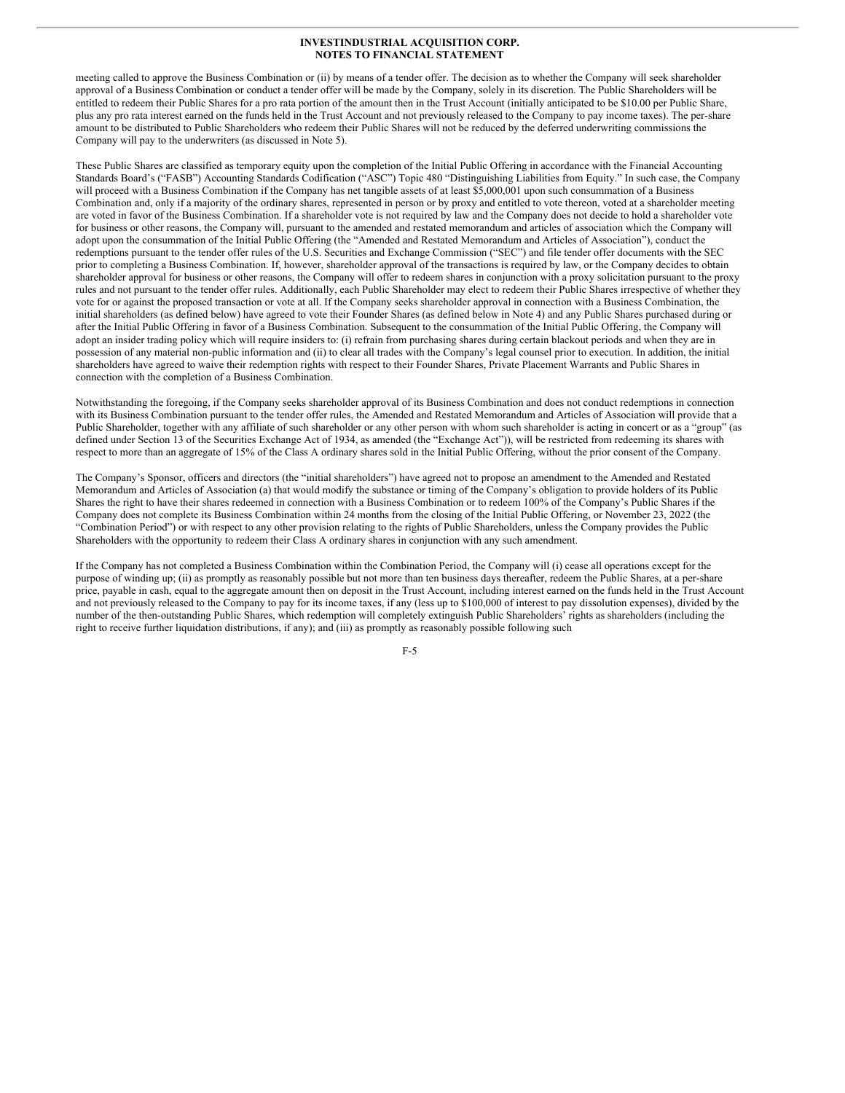meeting called to approve the Business Combination or (ii) by means of a tender offer. The decision as to whether the Company will seek shareholder approval of a Business Combination or conduct a tender offer will be made by the Company, solely in its discretion. The Public Shareholders will be entitled to redeem their Public Shares for a pro rata portion of the amount then in the Trust Account (initially anticipated to be \$10.00 per Public Share, plus any pro rata interest earned on the funds held in the Trust Account and not previously released to the Company to pay income taxes). The per-share amount to be distributed to Public Shareholders who redeem their Public Shares will not be reduced by the deferred underwriting commissions the Company will pay to the underwriters (as discussed in Note 5).

These Public Shares are classified as temporary equity upon the completion of the Initial Public Offering in accordance with the Financial Accounting Standards Board's ("FASB") Accounting Standards Codification ("ASC") Topic 480 "Distinguishing Liabilities from Equity." In such case, the Company will proceed with a Business Combination if the Company has net tangible assets of at least \$5,000,001 upon such consummation of a Business Combination and, only if a majority of the ordinary shares, represented in person or by proxy and entitled to vote thereon, voted at a shareholder meeting are voted in favor of the Business Combination. If a shareholder vote is not required by law and the Company does not decide to hold a shareholder vote for business or other reasons, the Company will, pursuant to the amended and restated memorandum and articles of association which the Company will adopt upon the consummation of the Initial Public Offering (the "Amended and Restated Memorandum and Articles of Association"), conduct the redemptions pursuant to the tender offer rules of the U.S. Securities and Exchange Commission ("SEC") and file tender offer documents with the SEC prior to completing a Business Combination. If, however, shareholder approval of the transactions is required by law, or the Company decides to obtain shareholder approval for business or other reasons, the Company will offer to redeem shares in conjunction with a proxy solicitation pursuant to the proxy rules and not pursuant to the tender offer rules. Additionally, each Public Shareholder may elect to redeem their Public Shares irrespective of whether they vote for or against the proposed transaction or vote at all. If the Company seeks shareholder approval in connection with a Business Combination, the initial shareholders (as defined below) have agreed to vote their Founder Shares (as defined below in Note 4) and any Public Shares purchased during or after the Initial Public Offering in favor of a Business Combination. Subsequent to the consummation of the Initial Public Offering, the Company will adopt an insider trading policy which will require insiders to: (i) refrain from purchasing shares during certain blackout periods and when they are in possession of any material non-public information and (ii) to clear all trades with the Company's legal counsel prior to execution. In addition, the initial shareholders have agreed to waive their redemption rights with respect to their Founder Shares, Private Placement Warrants and Public Shares in connection with the completion of a Business Combination.

Notwithstanding the foregoing, if the Company seeks shareholder approval of its Business Combination and does not conduct redemptions in connection with its Business Combination pursuant to the tender offer rules, the Amended and Restated Memorandum and Articles of Association will provide that a Public Shareholder, together with any affiliate of such shareholder or any other person with whom such shareholder is acting in concert or as a "group" (as defined under Section 13 of the Securities Exchange Act of 1934, as amended (the "Exchange Act")), will be restricted from redeeming its shares with respect to more than an aggregate of 15% of the Class A ordinary shares sold in the Initial Public Offering, without the prior consent of the Company.

The Company's Sponsor, officers and directors (the "initial shareholders") have agreed not to propose an amendment to the Amended and Restated Memorandum and Articles of Association (a) that would modify the substance or timing of the Company's obligation to provide holders of its Public Shares the right to have their shares redeemed in connection with a Business Combination or to redeem 100% of the Company's Public Shares if the Company does not complete its Business Combination within 24 months from the closing of the Initial Public Offering, or November 23, 2022 (the "Combination Period") or with respect to any other provision relating to the rights of Public Shareholders, unless the Company provides the Public Shareholders with the opportunity to redeem their Class A ordinary shares in conjunction with any such amendment.

If the Company has not completed a Business Combination within the Combination Period, the Company will (i) cease all operations except for the purpose of winding up; (ii) as promptly as reasonably possible but not more than ten business days thereafter, redeem the Public Shares, at a per-share price, payable in cash, equal to the aggregate amount then on deposit in the Trust Account, including interest earned on the funds held in the Trust Account and not previously released to the Company to pay for its income taxes, if any (less up to \$100,000 of interest to pay dissolution expenses), divided by the number of the then-outstanding Public Shares, which redemption will completely extinguish Public Shareholders' rights as shareholders (including the right to receive further liquidation distributions, if any); and (iii) as promptly as reasonably possible following such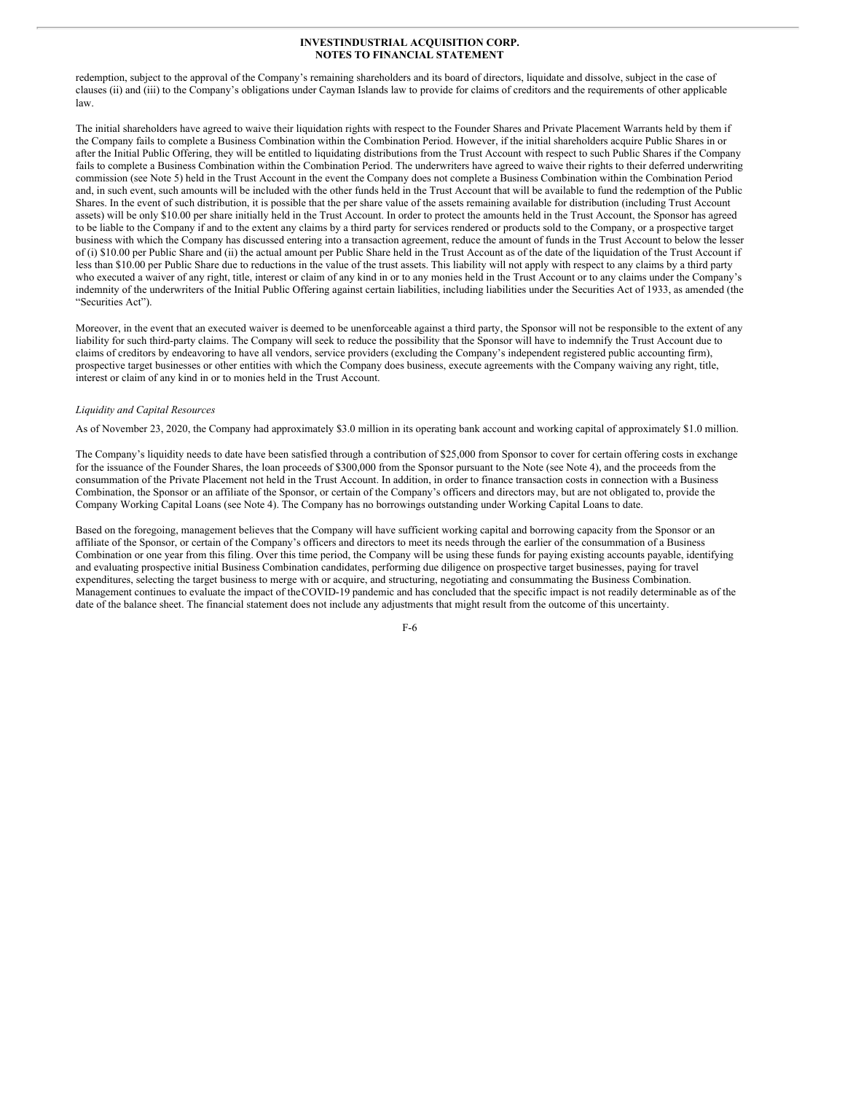redemption, subject to the approval of the Company's remaining shareholders and its board of directors, liquidate and dissolve, subject in the case of clauses (ii) and (iii) to the Company's obligations under Cayman Islands law to provide for claims of creditors and the requirements of other applicable law.

The initial shareholders have agreed to waive their liquidation rights with respect to the Founder Shares and Private Placement Warrants held by them if the Company fails to complete a Business Combination within the Combination Period. However, if the initial shareholders acquire Public Shares in or after the Initial Public Offering, they will be entitled to liquidating distributions from the Trust Account with respect to such Public Shares if the Company fails to complete a Business Combination within the Combination Period. The underwriters have agreed to waive their rights to their deferred underwriting commission (see Note 5) held in the Trust Account in the event the Company does not complete a Business Combination within the Combination Period and, in such event, such amounts will be included with the other funds held in the Trust Account that will be available to fund the redemption of the Public Shares. In the event of such distribution, it is possible that the per share value of the assets remaining available for distribution (including Trust Account assets) will be only \$10.00 per share initially held in the Trust Account. In order to protect the amounts held in the Trust Account, the Sponsor has agreed to be liable to the Company if and to the extent any claims by a third party for services rendered or products sold to the Company, or a prospective target business with which the Company has discussed entering into a transaction agreement, reduce the amount of funds in the Trust Account to below the lesser of (i) \$10.00 per Public Share and (ii) the actual amount per Public Share held in the Trust Account as of the date of the liquidation of the Trust Account if less than \$10.00 per Public Share due to reductions in the value of the trust assets. This liability will not apply with respect to any claims by a third party who executed a waiver of any right, title, interest or claim of any kind in or to any monies held in the Trust Account or to any claims under the Company's indemnity of the underwriters of the Initial Public Offering against certain liabilities, including liabilities under the Securities Act of 1933, as amended (the "Securities Act").

Moreover, in the event that an executed waiver is deemed to be unenforceable against a third party, the Sponsor will not be responsible to the extent of any liability for such third-party claims. The Company will seek to reduce the possibility that the Sponsor will have to indemnify the Trust Account due to claims of creditors by endeavoring to have all vendors, service providers (excluding the Company's independent registered public accounting firm), prospective target businesses or other entities with which the Company does business, execute agreements with the Company waiving any right, title, interest or claim of any kind in or to monies held in the Trust Account.

#### *Liquidity and Capital Resources*

As of November 23, 2020, the Company had approximately \$3.0 million in its operating bank account and working capital of approximately \$1.0 million.

The Company's liquidity needs to date have been satisfied through a contribution of \$25,000 from Sponsor to cover for certain offering costs in exchange for the issuance of the Founder Shares, the loan proceeds of \$300,000 from the Sponsor pursuant to the Note (see Note 4), and the proceeds from the consummation of the Private Placement not held in the Trust Account. In addition, in order to finance transaction costs in connection with a Business Combination, the Sponsor or an affiliate of the Sponsor, or certain of the Company's officers and directors may, but are not obligated to, provide the Company Working Capital Loans (see Note 4). The Company has no borrowings outstanding under Working Capital Loans to date.

Based on the foregoing, management believes that the Company will have sufficient working capital and borrowing capacity from the Sponsor or an affiliate of the Sponsor, or certain of the Company's officers and directors to meet its needs through the earlier of the consummation of a Business Combination or one year from this filing. Over this time period, the Company will be using these funds for paying existing accounts payable, identifying and evaluating prospective initial Business Combination candidates, performing due diligence on prospective target businesses, paying for travel expenditures, selecting the target business to merge with or acquire, and structuring, negotiating and consummating the Business Combination. Management continues to evaluate the impact of theCOVID-19 pandemic and has concluded that the specific impact is not readily determinable as of the date of the balance sheet. The financial statement does not include any adjustments that might result from the outcome of this uncertainty.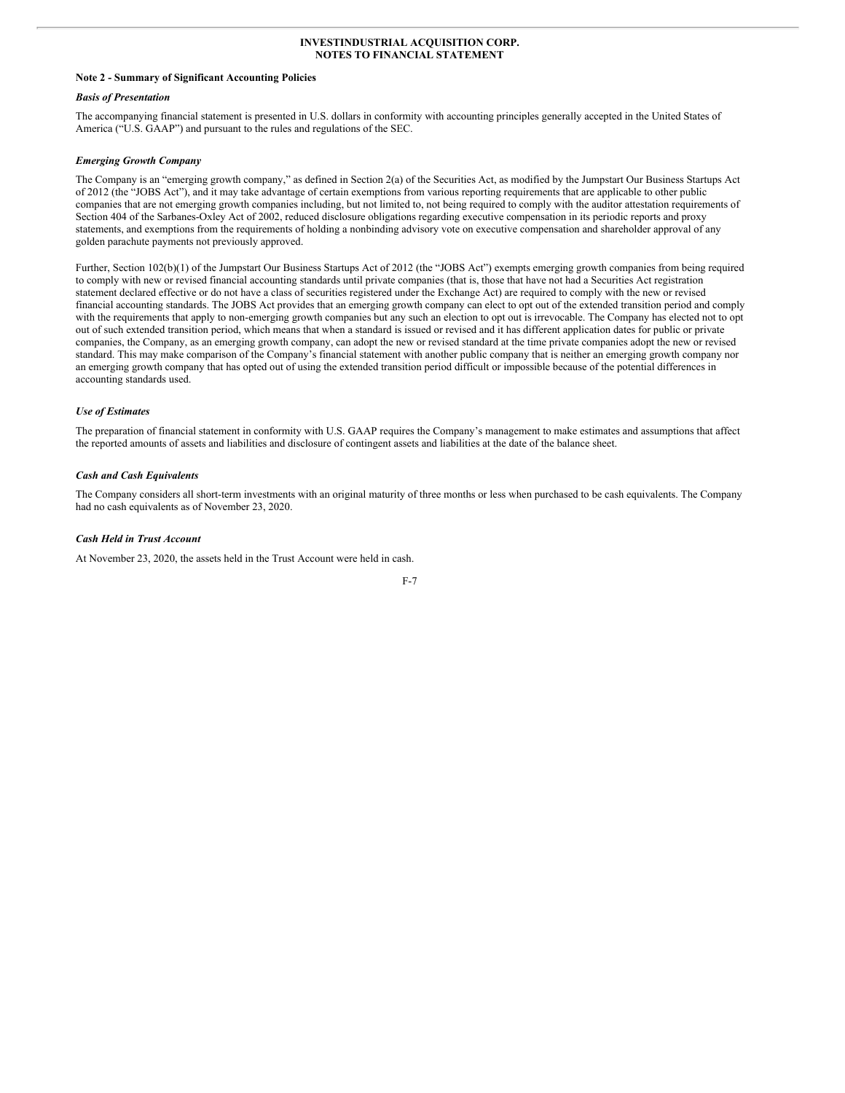#### <span id="page-9-0"></span>**Note 2 - Summary of Significant Accounting Policies**

#### *Basis of Presentation*

The accompanying financial statement is presented in U.S. dollars in conformity with accounting principles generally accepted in the United States of America ("U.S. GAAP") and pursuant to the rules and regulations of the SEC.

#### *Emerging Growth Company*

The Company is an "emerging growth company," as defined in Section 2(a) of the Securities Act, as modified by the Jumpstart Our Business Startups Act of 2012 (the "JOBS Act"), and it may take advantage of certain exemptions from various reporting requirements that are applicable to other public companies that are not emerging growth companies including, but not limited to, not being required to comply with the auditor attestation requirements of Section 404 of the Sarbanes-Oxley Act of 2002, reduced disclosure obligations regarding executive compensation in its periodic reports and proxy statements, and exemptions from the requirements of holding a nonbinding advisory vote on executive compensation and shareholder approval of any golden parachute payments not previously approved.

Further, Section 102(b)(1) of the Jumpstart Our Business Startups Act of 2012 (the "JOBS Act") exempts emerging growth companies from being required to comply with new or revised financial accounting standards until private companies (that is, those that have not had a Securities Act registration statement declared effective or do not have a class of securities registered under the Exchange Act) are required to comply with the new or revised financial accounting standards. The JOBS Act provides that an emerging growth company can elect to opt out of the extended transition period and comply with the requirements that apply to non-emerging growth companies but any such an election to opt out is irrevocable. The Company has elected not to opt out of such extended transition period, which means that when a standard is issued or revised and it has different application dates for public or private companies, the Company, as an emerging growth company, can adopt the new or revised standard at the time private companies adopt the new or revised standard. This may make comparison of the Company's financial statement with another public company that is neither an emerging growth company nor an emerging growth company that has opted out of using the extended transition period difficult or impossible because of the potential differences in accounting standards used.

#### *Use of Estimates*

The preparation of financial statement in conformity with U.S. GAAP requires the Company's management to make estimates and assumptions that affect the reported amounts of assets and liabilities and disclosure of contingent assets and liabilities at the date of the balance sheet.

#### *Cash and Cash Equivalents*

The Company considers all short-term investments with an original maturity of three months or less when purchased to be cash equivalents. The Company had no cash equivalents as of November 23, 2020.

#### *Cash Held in Trust Account*

At November 23, 2020, the assets held in the Trust Account were held in cash.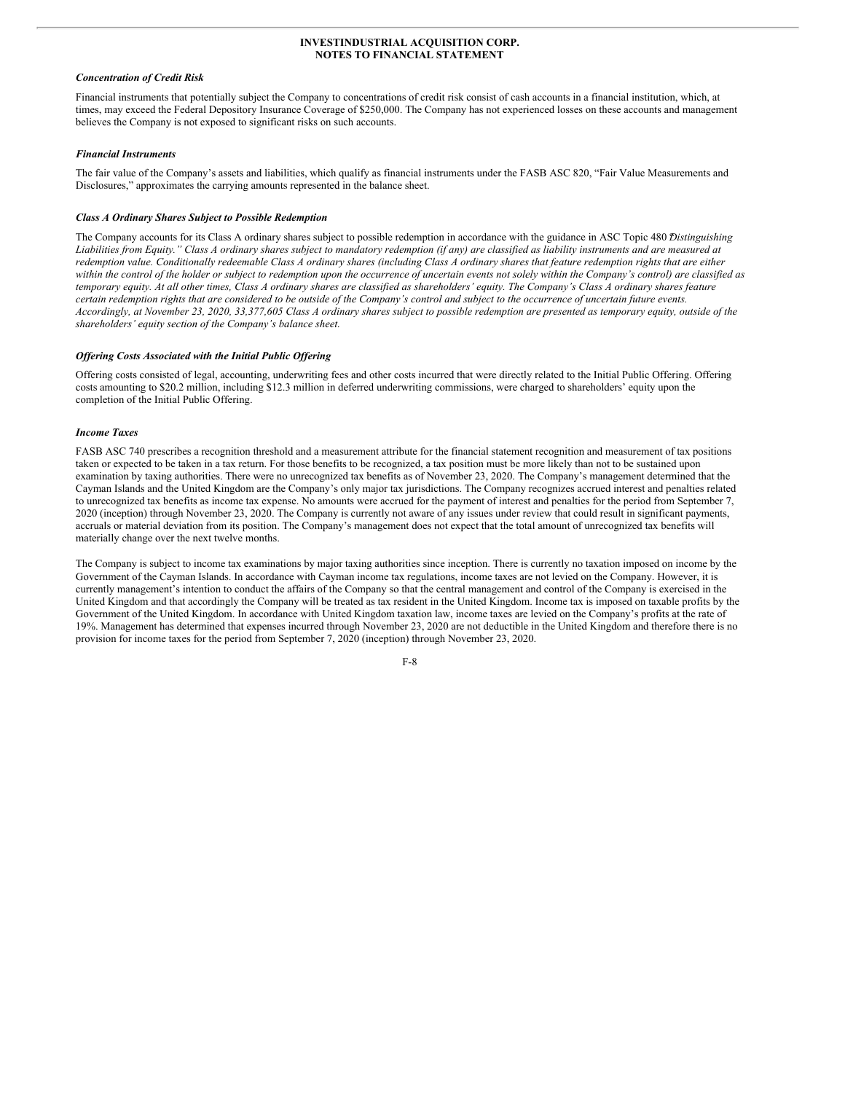#### *Concentration of Credit Risk*

Financial instruments that potentially subject the Company to concentrations of credit risk consist of cash accounts in a financial institution, which, at times, may exceed the Federal Depository Insurance Coverage of \$250,000. The Company has not experienced losses on these accounts and management believes the Company is not exposed to significant risks on such accounts.

#### *Financial Instruments*

The fair value of the Company's assets and liabilities, which qualify as financial instruments under the FASB ASC 820, "Fair Value Measurements and Disclosures," approximates the carrying amounts represented in the balance sheet.

#### *Class A Ordinary Shares Subject to Possible Redemption*

The Company accounts for its Class A ordinary shares subject to possible redemption in accordance with the guidance in ASC Topic 480 *Distinguishing* Liabilities from Equity." Class A ordinary shares subject to mandatory redemption (if any) are classified as liability instruments and are measured at redemption value. Conditionally redeemable Class A ordinary shares (including Class A ordinary shares that feature redemption rights that are either within the control of the holder or subject to redemption upon the occurrence of uncertain events not solely within the Company's control) are classified as temporary equity. At all other times, Class A ordinary shares are classified as shareholders' equity. The Company's Class A ordinary shares feature certain redemption rights that are considered to be outside of the Company's control and subject to the occurrence of uncertain future events. Accordingly, at November 23, 2020, 33,377,605 Class A ordinary shares subject to possible redemption are presented as temporary equity, outside of the *shareholders' equity section of the Company's balance sheet.*

#### *Of ering Costs Associated with the Initial Public Of ering*

Offering costs consisted of legal, accounting, underwriting fees and other costs incurred that were directly related to the Initial Public Offering. Offering costs amounting to \$20.2 million, including \$12.3 million in deferred underwriting commissions, were charged to shareholders' equity upon the completion of the Initial Public Offering.

#### *Income Taxes*

FASB ASC 740 prescribes a recognition threshold and a measurement attribute for the financial statement recognition and measurement of tax positions taken or expected to be taken in a tax return. For those benefits to be recognized, a tax position must be more likely than not to be sustained upon examination by taxing authorities. There were no unrecognized tax benefits as of November 23, 2020. The Company's management determined that the Cayman Islands and the United Kingdom are the Company's only major tax jurisdictions. The Company recognizes accrued interest and penalties related to unrecognized tax benefits as income tax expense. No amounts were accrued for the payment of interest and penalties for the period from September 7, 2020 (inception) through November 23, 2020. The Company is currently not aware of any issues under review that could result in significant payments, accruals or material deviation from its position. The Company's management does not expect that the total amount of unrecognized tax benefits will materially change over the next twelve months.

The Company is subject to income tax examinations by major taxing authorities since inception. There is currently no taxation imposed on income by the Government of the Cayman Islands. In accordance with Cayman income tax regulations, income taxes are not levied on the Company. However, it is currently management's intention to conduct the affairs of the Company so that the central management and control of the Company is exercised in the United Kingdom and that accordingly the Company will be treated as tax resident in the United Kingdom. Income tax is imposed on taxable profits by the Government of the United Kingdom. In accordance with United Kingdom taxation law, income taxes are levied on the Company's profits at the rate of 19%. Management has determined that expenses incurred through November 23, 2020 are not deductible in the United Kingdom and therefore there is no provision for income taxes for the period from September 7, 2020 (inception) through November 23, 2020.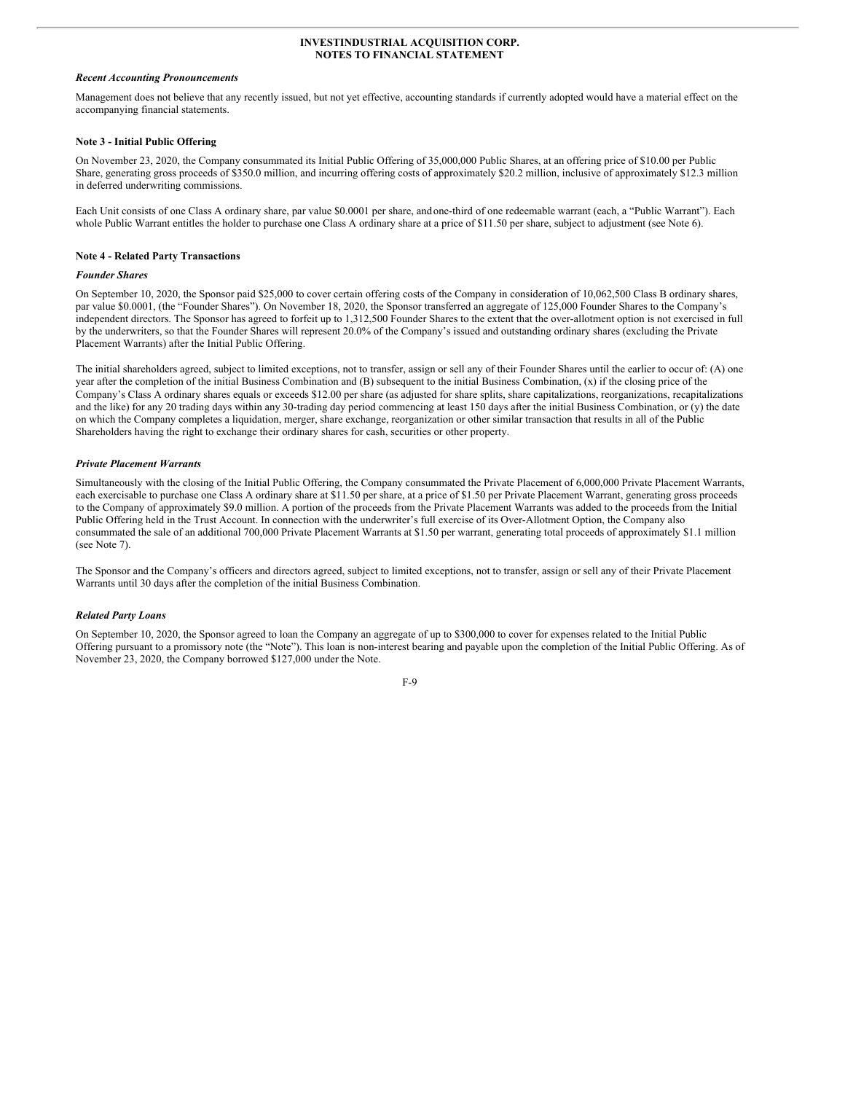#### *Recent Accounting Pronouncements*

Management does not believe that any recently issued, but not yet effective, accounting standards if currently adopted would have a material effect on the accompanying financial statements.

#### **Note 3 - Initial Public Offering**

On November 23, 2020, the Company consummated its Initial Public Offering of 35,000,000 Public Shares, at an offering price of \$10.00 per Public Share, generating gross proceeds of \$350.0 million, and incurring offering costs of approximately \$20.2 million, inclusive of approximately \$12.3 million in deferred underwriting commissions.

Each Unit consists of one Class A ordinary share, par value \$0.0001 per share, andone-third of one redeemable warrant (each, a "Public Warrant"). Each whole Public Warrant entitles the holder to purchase one Class A ordinary share at a price of \$11.50 per share, subject to adjustment (see Note 6).

#### **Note 4 - Related Party Transactions**

#### *Founder Shares*

On September 10, 2020, the Sponsor paid \$25,000 to cover certain offering costs of the Company in consideration of 10,062,500 Class B ordinary shares, par value \$0.0001, (the "Founder Shares"). On November 18, 2020, the Sponsor transferred an aggregate of 125,000 Founder Shares to the Company's independent directors. The Sponsor has agreed to forfeit up to 1,312,500 Founder Shares to the extent that the over-allotment option is not exercised in full by the underwriters, so that the Founder Shares will represent 20.0% of the Company's issued and outstanding ordinary shares (excluding the Private Placement Warrants) after the Initial Public Offering.

The initial shareholders agreed, subject to limited exceptions, not to transfer, assign or sell any of their Founder Shares until the earlier to occur of: (A) one year after the completion of the initial Business Combination and (B) subsequent to the initial Business Combination, (x) if the closing price of the Company's Class A ordinary shares equals or exceeds \$12.00 per share (as adjusted for share splits, share capitalizations, reorganizations, recapitalizations and the like) for any 20 trading days within any 30-trading day period commencing at least 150 days after the initial Business Combination, or (y) the date on which the Company completes a liquidation, merger, share exchange, reorganization or other similar transaction that results in all of the Public Shareholders having the right to exchange their ordinary shares for cash, securities or other property.

#### *Private Placement Warrants*

Simultaneously with the closing of the Initial Public Offering, the Company consummated the Private Placement of 6,000,000 Private Placement Warrants, each exercisable to purchase one Class A ordinary share at \$11.50 per share, at a price of \$1.50 per Private Placement Warrant, generating gross proceeds to the Company of approximately \$9.0 million. A portion of the proceeds from the Private Placement Warrants was added to the proceeds from the Initial Public Offering held in the Trust Account. In connection with the underwriter's full exercise of its Over-Allotment Option, the Company also consummated the sale of an additional 700,000 Private Placement Warrants at \$1.50 per warrant, generating total proceeds of approximately \$1.1 million (see Note 7).

The Sponsor and the Company's officers and directors agreed, subject to limited exceptions, not to transfer, assign or sell any of their Private Placement Warrants until 30 days after the completion of the initial Business Combination.

#### *Related Party Loans*

On September 10, 2020, the Sponsor agreed to loan the Company an aggregate of up to \$300,000 to cover for expenses related to the Initial Public Offering pursuant to a promissory note (the "Note"). This loan is non-interest bearing and payable upon the completion of the Initial Public Offering. As of November 23, 2020, the Company borrowed \$127,000 under the Note.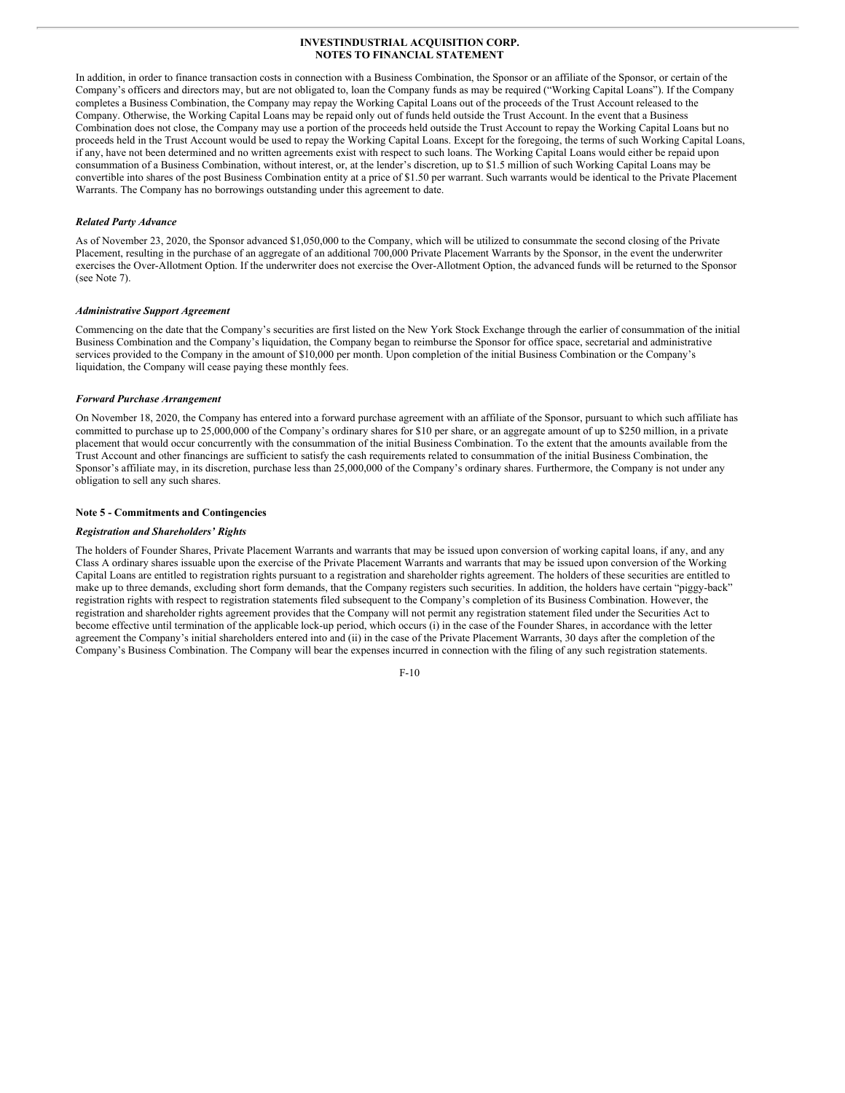In addition, in order to finance transaction costs in connection with a Business Combination, the Sponsor or an affiliate of the Sponsor, or certain of the Company's officers and directors may, but are not obligated to, loan the Company funds as may be required ("Working Capital Loans"). If the Company completes a Business Combination, the Company may repay the Working Capital Loans out of the proceeds of the Trust Account released to the Company. Otherwise, the Working Capital Loans may be repaid only out of funds held outside the Trust Account. In the event that a Business Combination does not close, the Company may use a portion of the proceeds held outside the Trust Account to repay the Working Capital Loans but no proceeds held in the Trust Account would be used to repay the Working Capital Loans. Except for the foregoing, the terms of such Working Capital Loans, if any, have not been determined and no written agreements exist with respect to such loans. The Working Capital Loans would either be repaid upon consummation of a Business Combination, without interest, or, at the lender's discretion, up to \$1.5 million of such Working Capital Loans may be convertible into shares of the post Business Combination entity at a price of \$1.50 per warrant. Such warrants would be identical to the Private Placement Warrants. The Company has no borrowings outstanding under this agreement to date.

#### *Related Party Advance*

As of November 23, 2020, the Sponsor advanced \$1,050,000 to the Company, which will be utilized to consummate the second closing of the Private Placement, resulting in the purchase of an aggregate of an additional 700,000 Private Placement Warrants by the Sponsor, in the event the underwriter exercises the Over-Allotment Option. If the underwriter does not exercise the Over-Allotment Option, the advanced funds will be returned to the Sponsor (see Note 7).

#### *Administrative Support Agreement*

Commencing on the date that the Company's securities are first listed on the New York Stock Exchange through the earlier of consummation of the initial Business Combination and the Company's liquidation, the Company began to reimburse the Sponsor for office space, secretarial and administrative services provided to the Company in the amount of \$10,000 per month. Upon completion of the initial Business Combination or the Company's liquidation, the Company will cease paying these monthly fees.

#### *Forward Purchase Arrangement*

On November 18, 2020, the Company has entered into a forward purchase agreement with an affiliate of the Sponsor, pursuant to which such affiliate has committed to purchase up to 25,000,000 of the Company's ordinary shares for \$10 per share, or an aggregate amount of up to \$250 million, in a private placement that would occur concurrently with the consummation of the initial Business Combination. To the extent that the amounts available from the Trust Account and other financings are sufficient to satisfy the cash requirements related to consummation of the initial Business Combination, the Sponsor's affiliate may, in its discretion, purchase less than 25,000,000 of the Company's ordinary shares. Furthermore, the Company is not under any obligation to sell any such shares.

#### **Note 5 - Commitments and Contingencies**

#### *Registration and Shareholders' Rights*

The holders of Founder Shares, Private Placement Warrants and warrants that may be issued upon conversion of working capital loans, if any, and any Class A ordinary shares issuable upon the exercise of the Private Placement Warrants and warrants that may be issued upon conversion of the Working Capital Loans are entitled to registration rights pursuant to a registration and shareholder rights agreement. The holders of these securities are entitled to make up to three demands, excluding short form demands, that the Company registers such securities. In addition, the holders have certain "piggy-back" registration rights with respect to registration statements filed subsequent to the Company's completion of its Business Combination. However, the registration and shareholder rights agreement provides that the Company will not permit any registration statement filed under the Securities Act to become effective until termination of the applicable lock-up period, which occurs (i) in the case of the Founder Shares, in accordance with the letter agreement the Company's initial shareholders entered into and (ii) in the case of the Private Placement Warrants, 30 days after the completion of the Company's Business Combination. The Company will bear the expenses incurred in connection with the filing of any such registration statements.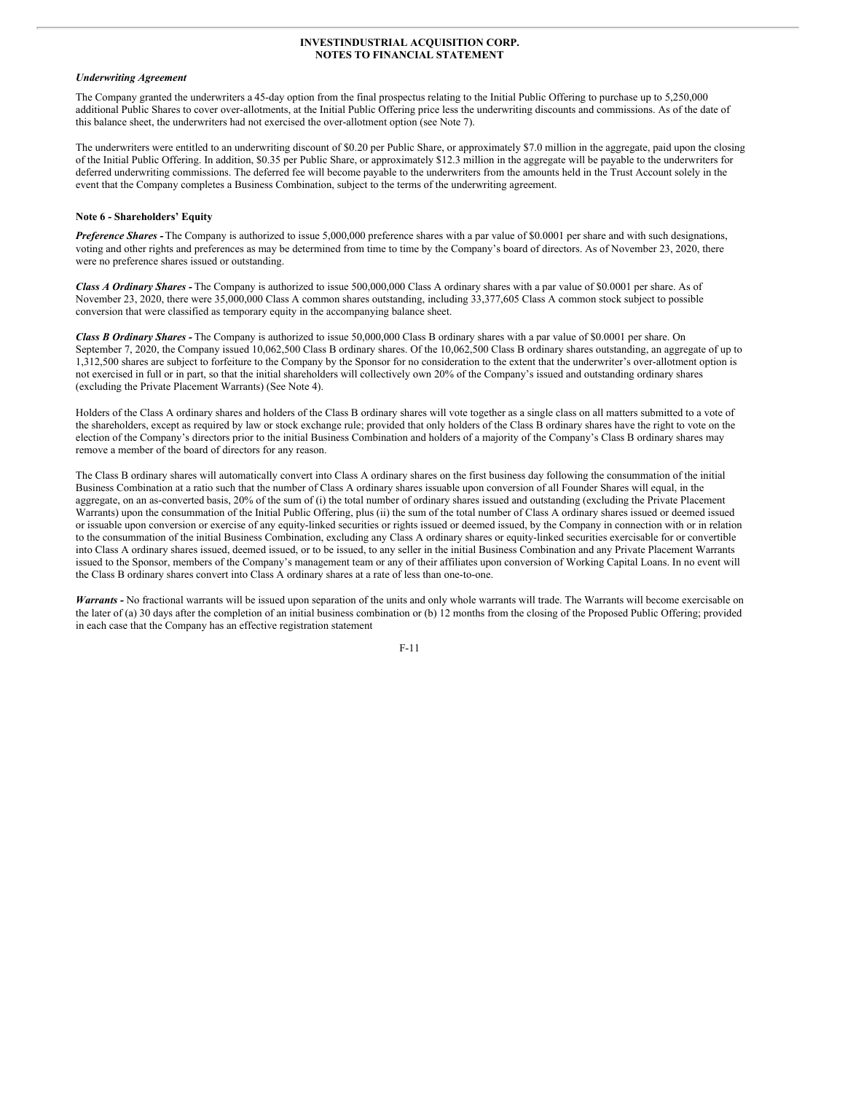#### *Underwriting Agreement*

The Company granted the underwriters a 45-day option from the final prospectus relating to the Initial Public Offering to purchase up to 5,250,000 additional Public Shares to cover over-allotments, at the Initial Public Offering price less the underwriting discounts and commissions. As of the date of this balance sheet, the underwriters had not exercised the over-allotment option (see Note 7).

The underwriters were entitled to an underwriting discount of \$0.20 per Public Share, or approximately \$7.0 million in the aggregate, paid upon the closing of the Initial Public Offering. In addition, \$0.35 per Public Share, or approximately \$12.3 million in the aggregate will be payable to the underwriters for deferred underwriting commissions. The deferred fee will become payable to the underwriters from the amounts held in the Trust Account solely in the event that the Company completes a Business Combination, subject to the terms of the underwriting agreement.

#### **Note 6 - Shareholders' Equity**

*Preference Shares -* The Company is authorized to issue 5,000,000 preference shares with a par value of \$0.0001 per share and with such designations, voting and other rights and preferences as may be determined from time to time by the Company's board of directors. As of November 23, 2020, there were no preference shares issued or outstanding.

*Class A Ordinary Shares -* The Company is authorized to issue 500,000,000 Class A ordinary shares with a par value of \$0.0001 per share. As of November 23, 2020, there were 35,000,000 Class A common shares outstanding, including 33,377,605 Class A common stock subject to possible conversion that were classified as temporary equity in the accompanying balance sheet.

*Class B Ordinary Shares -* The Company is authorized to issue 50,000,000 Class B ordinary shares with a par value of \$0.0001 per share. On September 7, 2020, the Company issued 10,062,500 Class B ordinary shares. Of the 10,062,500 Class B ordinary shares outstanding, an aggregate of up to 1,312,500 shares are subject to forfeiture to the Company by the Sponsor for no consideration to the extent that the underwriter's over-allotment option is not exercised in full or in part, so that the initial shareholders will collectively own 20% of the Company's issued and outstanding ordinary shares (excluding the Private Placement Warrants) (See Note 4).

Holders of the Class A ordinary shares and holders of the Class B ordinary shares will vote together as a single class on all matters submitted to a vote of the shareholders, except as required by law or stock exchange rule; provided that only holders of the Class B ordinary shares have the right to vote on the election of the Company's directors prior to the initial Business Combination and holders of a majority of the Company's Class B ordinary shares may remove a member of the board of directors for any reason.

The Class B ordinary shares will automatically convert into Class A ordinary shares on the first business day following the consummation of the initial Business Combination at a ratio such that the number of Class A ordinary shares issuable upon conversion of all Founder Shares will equal, in the aggregate, on an as-converted basis, 20% of the sum of (i) the total number of ordinary shares issued and outstanding (excluding the Private Placement Warrants) upon the consummation of the Initial Public Offering, plus (ii) the sum of the total number of Class A ordinary shares issued or deemed issued or issuable upon conversion or exercise of any equity-linked securities or rights issued or deemed issued, by the Company in connection with or in relation to the consummation of the initial Business Combination, excluding any Class A ordinary shares or equity-linked securities exercisable for or convertible into Class A ordinary shares issued, deemed issued, or to be issued, to any seller in the initial Business Combination and any Private Placement Warrants issued to the Sponsor, members of the Company's management team or any of their affiliates upon conversion of Working Capital Loans. In no event will the Class B ordinary shares convert into Class A ordinary shares at a rate of less than one-to-one.

*Warrants -* No fractional warrants will be issued upon separation of the units and only whole warrants will trade. The Warrants will become exercisable on the later of (a) 30 days after the completion of an initial business combination or (b) 12 months from the closing of the Proposed Public Offering; provided in each case that the Company has an effective registration statement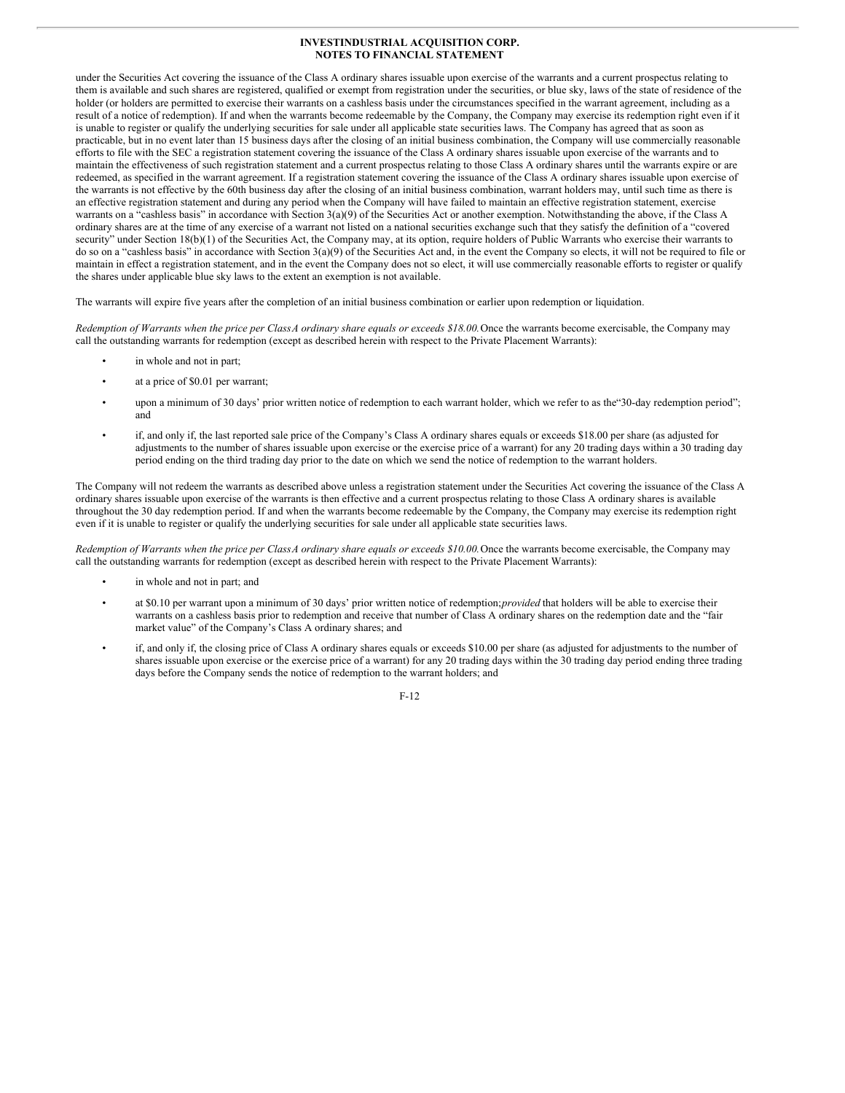under the Securities Act covering the issuance of the Class A ordinary shares issuable upon exercise of the warrants and a current prospectus relating to them is available and such shares are registered, qualified or exempt from registration under the securities, or blue sky, laws of the state of residence of the holder (or holders are permitted to exercise their warrants on a cashless basis under the circumstances specified in the warrant agreement, including as a result of a notice of redemption). If and when the warrants become redeemable by the Company, the Company may exercise its redemption right even if it is unable to register or qualify the underlying securities for sale under all applicable state securities laws. The Company has agreed that as soon as practicable, but in no event later than 15 business days after the closing of an initial business combination, the Company will use commercially reasonable efforts to file with the SEC a registration statement covering the issuance of the Class A ordinary shares issuable upon exercise of the warrants and to maintain the effectiveness of such registration statement and a current prospectus relating to those Class A ordinary shares until the warrants expire or are redeemed, as specified in the warrant agreement. If a registration statement covering the issuance of the Class A ordinary shares issuable upon exercise of the warrants is not effective by the 60th business day after the closing of an initial business combination, warrant holders may, until such time as there is an effective registration statement and during any period when the Company will have failed to maintain an effective registration statement, exercise warrants on a "cashless basis" in accordance with Section 3(a)(9) of the Securities Act or another exemption. Notwithstanding the above, if the Class A ordinary shares are at the time of any exercise of a warrant not listed on a national securities exchange such that they satisfy the definition of a "covered security" under Section 18(b)(1) of the Securities Act, the Company may, at its option, require holders of Public Warrants who exercise their warrants to do so on a "cashless basis" in accordance with Section 3(a)(9) of the Securities Act and, in the event the Company so elects, it will not be required to file or maintain in effect a registration statement, and in the event the Company does not so elect, it will use commercially reasonable efforts to register or qualify the shares under applicable blue sky laws to the extent an exemption is not available.

The warrants will expire five years after the completion of an initial business combination or earlier upon redemption or liquidation.

Redemption of Warrants when the price per Class A ordinary share equals or exceeds \$18.00. Once the warrants become exercisable, the Company may call the outstanding warrants for redemption (except as described herein with respect to the Private Placement Warrants):

- in whole and not in part;
- at a price of \$0.01 per warrant;
- upon a minimum of 30 days' prior written notice of redemption to each warrant holder, which we refer to as the 30-day redemption period"; and
- if, and only if, the last reported sale price of the Company's Class A ordinary shares equals or exceeds \$18.00 per share (as adjusted for adjustments to the number of shares issuable upon exercise or the exercise price of a warrant) for any 20 trading days within a 30 trading day period ending on the third trading day prior to the date on which we send the notice of redemption to the warrant holders.

The Company will not redeem the warrants as described above unless a registration statement under the Securities Act covering the issuance of the Class A ordinary shares issuable upon exercise of the warrants is then effective and a current prospectus relating to those Class A ordinary shares is available throughout the 30 day redemption period. If and when the warrants become redeemable by the Company, the Company may exercise its redemption right even if it is unable to register or qualify the underlying securities for sale under all applicable state securities laws.

Redemption of Warrants when the price per Class A ordinary share equals or exceeds \$10.00. Once the warrants become exercisable, the Company may call the outstanding warrants for redemption (except as described herein with respect to the Private Placement Warrants):

- in whole and not in part; and
- at \$0.10 per warrant upon a minimum of 30 days' prior written notice of redemption;*provided* that holders will be able to exercise their warrants on a cashless basis prior to redemption and receive that number of Class A ordinary shares on the redemption date and the "fair market value" of the Company's Class A ordinary shares; and
- if, and only if, the closing price of Class A ordinary shares equals or exceeds \$10.00 per share (as adjusted for adjustments to the number of shares issuable upon exercise or the exercise price of a warrant) for any 20 trading days within the 30 trading day period ending three trading days before the Company sends the notice of redemption to the warrant holders; and